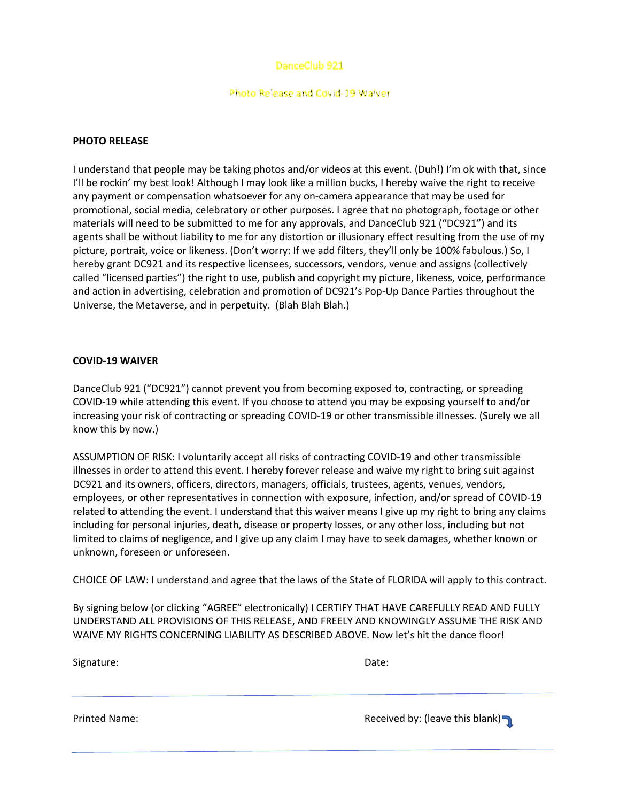# DanceClub 921

### Photo Release and Covid-19 Waiver

## **PHOTO RELEASE**

I understand that people may be taking photos and/or videos at this event. (Duh!) I'm ok with that, since I'll be rockin' my best look! Although I may look like a million bucks, I hereby waive the right to receive any payment or compensation whatsoever for any on-camera appearance that may be used for promotional, social media, celebratory or other purposes. I agree that no photograph, footage or other materials will need to be submitted to me for any approvals, and DanceClub 921 ("DC921") and its agents shall be without liability to me for any distortion or illusionary effect resulting from the use of my picture, portrait, voice or likeness. (Don't worry: If we add filters, they'll only be 100% fabulous.) So, I hereby grant DC921 and its respective licensees, successors, vendors, venue and assigns (collectively called "licensed parties") the right to use, publish and copyright my picture, likeness, voice, performance and action in advertising, celebration and promotion of DC921's Pop-Up Dance Parties throughout the Universe, the Metaverse, and in perpetuity. (Blah Blah Blah.)

### **COVID-19 WAIVER**

DanceClub 921 ("DC921") cannot prevent you from becoming exposed to, contracting, or spreading COVID-19 while attending this event. If you choose to attend you may be exposing yourself to and/or increasing your risk of contracting or spreading COVID-19 or other transmissible illnesses. (Surely we all know this by now.)

ASSUMPTION OF RISK: I voluntarily accept all risks of contracting COVID-19 and other transmissible illnesses in order to attend this event. I hereby forever release and waive my right to bring suit against DC921 and its owners, officers, directors, managers, officials, trustees, agents, venues, vendors, employees, or other representatives in connection with exposure, infection, and/or spread of COVID-19 related to attending the event. I understand that this waiver means I give up my right to bring any claims including for personal injuries, death, disease or property losses, or any other loss, including but not limited to claims of negligence, and I give up any claim I may have to seek damages, whether known or unknown, foreseen or unforeseen.

CHOICE OF LAW: I understand and agree that the laws of the State of FLORIDA will apply to this contract.

By signing below (or clicking "AGREE" electronically) I CERTIFY THAT HAVE CAREFULLY READ AND FULLY UNDERSTAND ALL PROVISIONS OF THIS RELEASE, AND FREELY AND KNOWINGLY ASSUME THE RISK AND WAIVE MY RIGHTS CONCERNING LIABILITY AS DESCRIBED ABOVE. Now let's hit the dance floor!

| Signature: | Date: |
|------------|-------|
|            |       |

Printed Name: **Received by: (leave this blank)**